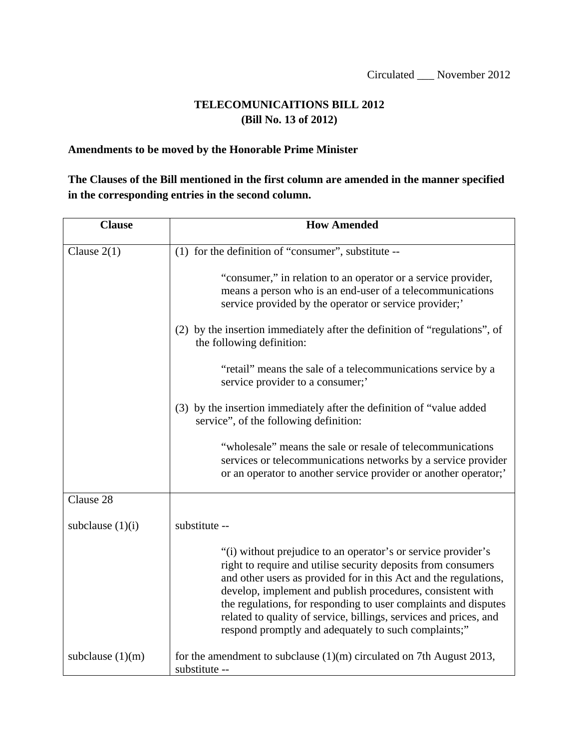## **TELECOMUNICAITIONS BILL 2012 (Bill No. 13 of 2012)**

## **Amendments to be moved by the Honorable Prime Minister**

## **The Clauses of the Bill mentioned in the first column are amended in the manner specified in the corresponding entries in the second column.**

| <b>Clause</b>      | <b>How Amended</b>                                                                                                                                                                                                                                                                                                                                                                                                                                               |
|--------------------|------------------------------------------------------------------------------------------------------------------------------------------------------------------------------------------------------------------------------------------------------------------------------------------------------------------------------------------------------------------------------------------------------------------------------------------------------------------|
| Clause $2(1)$      | (1) for the definition of "consumer", substitute --                                                                                                                                                                                                                                                                                                                                                                                                              |
|                    | "consumer," in relation to an operator or a service provider,<br>means a person who is an end-user of a telecommunications<br>service provided by the operator or service provider;                                                                                                                                                                                                                                                                              |
|                    | (2) by the insertion immediately after the definition of "regulations", of<br>the following definition:                                                                                                                                                                                                                                                                                                                                                          |
|                    | "retail" means the sale of a telecommunications service by a<br>service provider to a consumer;'                                                                                                                                                                                                                                                                                                                                                                 |
|                    | (3) by the insertion immediately after the definition of "value added<br>service", of the following definition:                                                                                                                                                                                                                                                                                                                                                  |
|                    | "wholesale" means the sale or resale of telecommunications<br>services or telecommunications networks by a service provider<br>or an operator to another service provider or another operator;                                                                                                                                                                                                                                                                   |
| Clause 28          |                                                                                                                                                                                                                                                                                                                                                                                                                                                                  |
| subclause $(1)(i)$ | substitute --                                                                                                                                                                                                                                                                                                                                                                                                                                                    |
|                    | "(i) without prejudice to an operator's or service provider's<br>right to require and utilise security deposits from consumers<br>and other users as provided for in this Act and the regulations,<br>develop, implement and publish procedures, consistent with<br>the regulations, for responding to user complaints and disputes<br>related to quality of service, billings, services and prices, and<br>respond promptly and adequately to such complaints;" |
| subclause $(1)(m)$ | for the amendment to subclause $(1)(m)$ circulated on 7th August 2013,<br>substitute --                                                                                                                                                                                                                                                                                                                                                                          |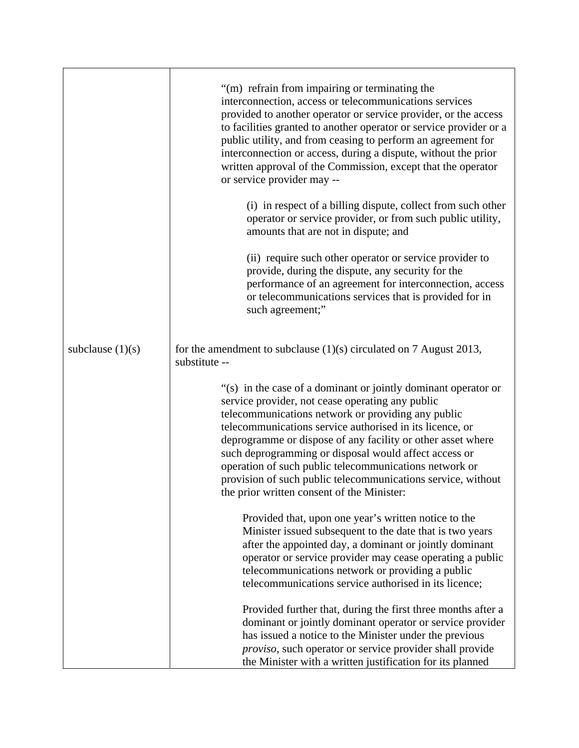|                    | "(m) refrain from impairing or terminating the<br>interconnection, access or telecommunications services<br>provided to another operator or service provider, or the access<br>to facilities granted to another operator or service provider or a<br>public utility, and from ceasing to perform an agreement for<br>interconnection or access, during a dispute, without the prior<br>written approval of the Commission, except that the operator<br>or service provider may --<br>(i) in respect of a billing dispute, collect from such other |
|--------------------|---------------------------------------------------------------------------------------------------------------------------------------------------------------------------------------------------------------------------------------------------------------------------------------------------------------------------------------------------------------------------------------------------------------------------------------------------------------------------------------------------------------------------------------------------|
|                    | operator or service provider, or from such public utility,<br>amounts that are not in dispute; and                                                                                                                                                                                                                                                                                                                                                                                                                                                |
|                    | (ii) require such other operator or service provider to<br>provide, during the dispute, any security for the<br>performance of an agreement for interconnection, access<br>or telecommunications services that is provided for in<br>such agreement;"                                                                                                                                                                                                                                                                                             |
| subclause $(1)(s)$ | for the amendment to subclause $(1)(s)$ circulated on 7 August 2013,<br>substitute --                                                                                                                                                                                                                                                                                                                                                                                                                                                             |
|                    | "(s) in the case of a dominant or jointly dominant operator or<br>service provider, not cease operating any public<br>telecommunications network or providing any public<br>telecommunications service authorised in its licence, or<br>deprogramme or dispose of any facility or other asset where<br>such deprogramming or disposal would affect access or<br>operation of such public telecommunications network or<br>provision of such public telecommunications service, without<br>the prior written consent of the Minister:              |
|                    | Provided that, upon one year's written notice to the<br>Minister issued subsequent to the date that is two years<br>after the appointed day, a dominant or jointly dominant<br>operator or service provider may cease operating a public<br>telecommunications network or providing a public<br>telecommunications service authorised in its licence;                                                                                                                                                                                             |
|                    | Provided further that, during the first three months after a<br>dominant or jointly dominant operator or service provider<br>has issued a notice to the Minister under the previous<br>proviso, such operator or service provider shall provide<br>the Minister with a written justification for its planned                                                                                                                                                                                                                                      |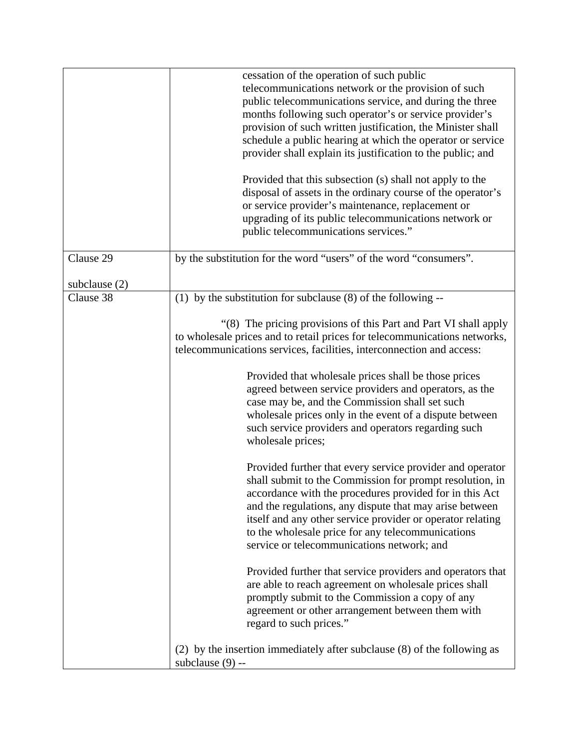|                              | cessation of the operation of such public<br>telecommunications network or the provision of such<br>public telecommunications service, and during the three<br>months following such operator's or service provider's<br>provision of such written justification, the Minister shall<br>schedule a public hearing at which the operator or service<br>provider shall explain its justification to the public; and<br>Provided that this subsection (s) shall not apply to the<br>disposal of assets in the ordinary course of the operator's<br>or service provider's maintenance, replacement or<br>upgrading of its public telecommunications network or<br>public telecommunications services." |
|------------------------------|----------------------------------------------------------------------------------------------------------------------------------------------------------------------------------------------------------------------------------------------------------------------------------------------------------------------------------------------------------------------------------------------------------------------------------------------------------------------------------------------------------------------------------------------------------------------------------------------------------------------------------------------------------------------------------------------------|
| Clause 29                    | by the substitution for the word "users" of the word "consumers".                                                                                                                                                                                                                                                                                                                                                                                                                                                                                                                                                                                                                                  |
| subclause $(2)$<br>Clause 38 | $\overline{(1)}$ by the substitution for subclause (8) of the following --                                                                                                                                                                                                                                                                                                                                                                                                                                                                                                                                                                                                                         |
|                              | "(8) The pricing provisions of this Part and Part VI shall apply<br>to wholesale prices and to retail prices for telecommunications networks,<br>telecommunications services, facilities, interconnection and access:<br>Provided that wholesale prices shall be those prices<br>agreed between service providers and operators, as the<br>case may be, and the Commission shall set such<br>wholesale prices only in the event of a dispute between<br>such service providers and operators regarding such<br>wholesale prices;                                                                                                                                                                   |
|                              | Provided further that every service provider and operator<br>shall submit to the Commission for prompt resolution, in<br>accordance with the procedures provided for in this Act<br>and the regulations, any dispute that may arise between<br>itself and any other service provider or operator relating<br>to the wholesale price for any telecommunications<br>service or telecommunications network; and<br>Provided further that service providers and operators that<br>are able to reach agreement on wholesale prices shall<br>promptly submit to the Commission a copy of any<br>agreement or other arrangement between them with<br>regard to such prices."                              |
|                              | (2) by the insertion immediately after subclause (8) of the following as<br>subclause $(9)$ --                                                                                                                                                                                                                                                                                                                                                                                                                                                                                                                                                                                                     |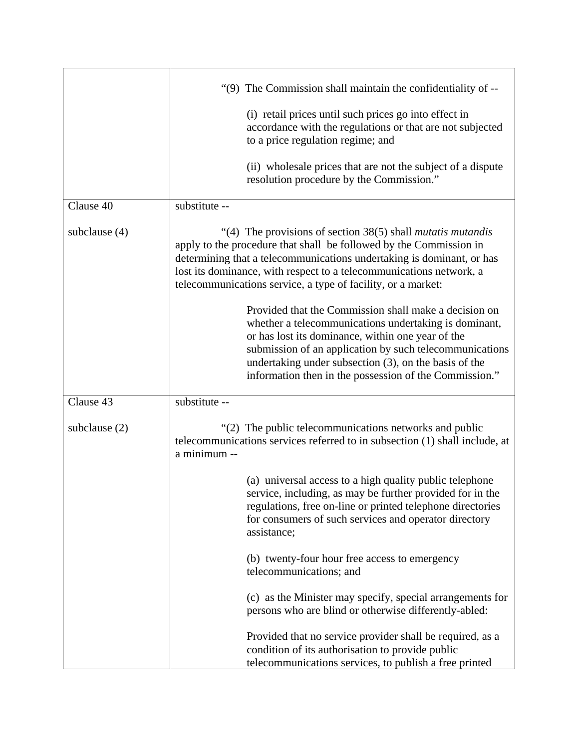| Clause 40       | "(9) The Commission shall maintain the confidentiality of --<br>(i) retail prices until such prices go into effect in<br>accordance with the regulations or that are not subjected<br>to a price regulation regime; and<br>(ii) wholesale prices that are not the subject of a dispute<br>resolution procedure by the Commission."<br>substitute --        |
|-----------------|------------------------------------------------------------------------------------------------------------------------------------------------------------------------------------------------------------------------------------------------------------------------------------------------------------------------------------------------------------|
|                 |                                                                                                                                                                                                                                                                                                                                                            |
| subclause $(4)$ | "(4) The provisions of section $38(5)$ shall <i>mutatis mutandis</i><br>apply to the procedure that shall be followed by the Commission in<br>determining that a telecommunications undertaking is dominant, or has<br>lost its dominance, with respect to a telecommunications network, a<br>telecommunications service, a type of facility, or a market: |
|                 | Provided that the Commission shall make a decision on<br>whether a telecommunications undertaking is dominant,<br>or has lost its dominance, within one year of the<br>submission of an application by such telecommunications<br>undertaking under subsection (3), on the basis of the<br>information then in the possession of the Commission."          |
| Clause 43       | substitute --                                                                                                                                                                                                                                                                                                                                              |
| subclause $(2)$ | "(2) The public telecommunications networks and public<br>telecommunications services referred to in subsection (1) shall include, at<br>a minimum --                                                                                                                                                                                                      |
|                 | (a) universal access to a high quality public telephone<br>service, including, as may be further provided for in the<br>regulations, free on-line or printed telephone directories<br>for consumers of such services and operator directory<br>assistance;                                                                                                 |
|                 | (b) twenty-four hour free access to emergency<br>telecommunications; and                                                                                                                                                                                                                                                                                   |
|                 | (c) as the Minister may specify, special arrangements for<br>persons who are blind or otherwise differently-abled:                                                                                                                                                                                                                                         |
|                 | Provided that no service provider shall be required, as a<br>condition of its authorisation to provide public<br>telecommunications services, to publish a free printed                                                                                                                                                                                    |